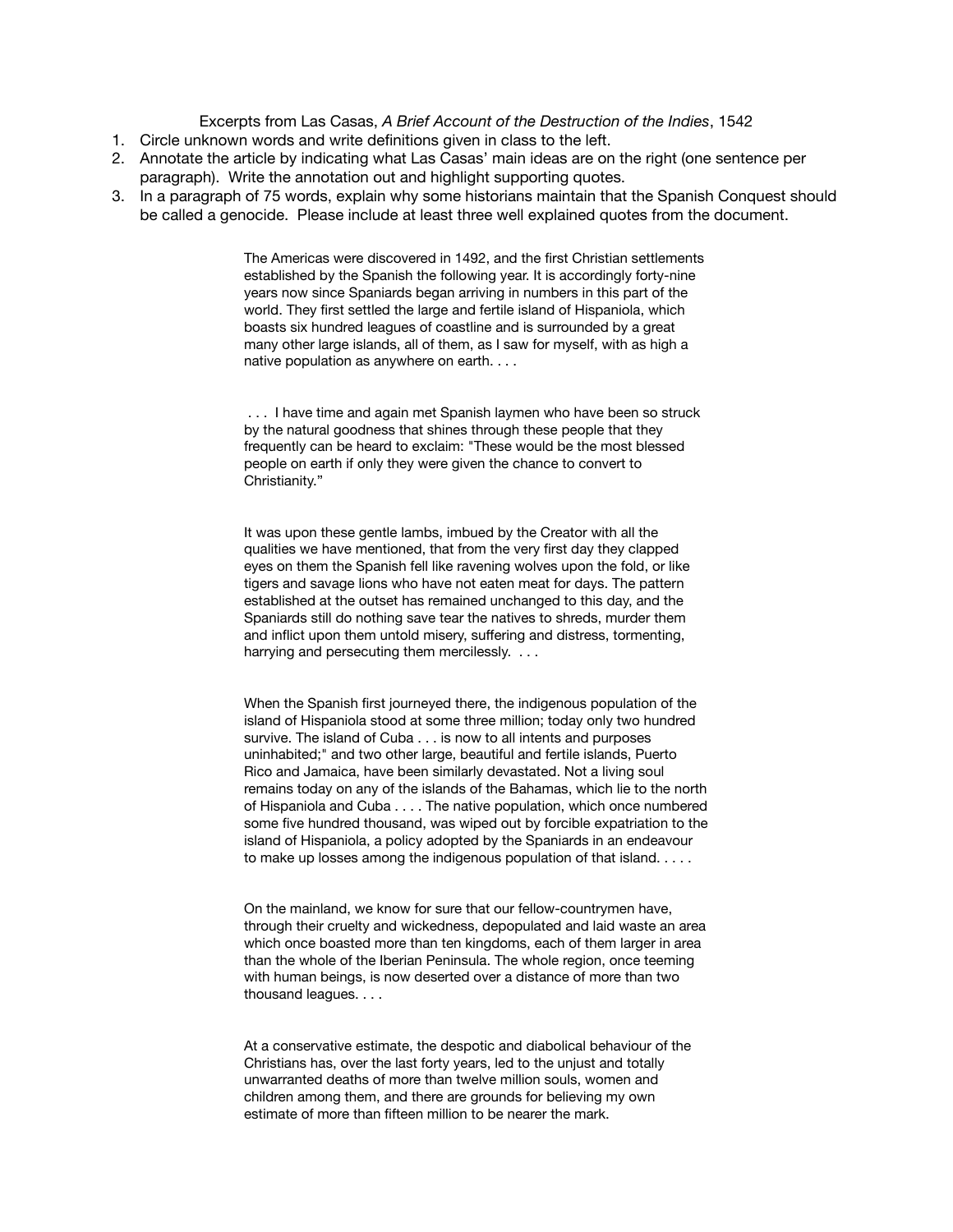Excerpts from Las Casas, *A Brief Account of the Destruction of the Indies*, 1542

- 1. Circle unknown words and write definitions given in class to the left.
- 2. Annotate the article by indicating what Las Casas' main ideas are on the right (one sentence per paragraph). Write the annotation out and highlight supporting quotes.
- 3. In a paragraph of 75 words, explain why some historians maintain that the Spanish Conquest should be called a genocide. Please include at least three well explained quotes from the document.

The Americas were discovered in 1492, and the first Christian settlements established by the Spanish the following year. It is accordingly forty-nine years now since Spaniards began arriving in numbers in this part of the world. They first settled the large and fertile island of Hispaniola, which boasts six hundred leagues of coastline and is surrounded by a great many other large islands, all of them, as I saw for myself, with as high a native population as anywhere on earth. . . .

 . . . I have time and again met Spanish laymen who have been so struck by the natural goodness that shines through these people that they frequently can be heard to exclaim: "These would be the most blessed people on earth if only they were given the chance to convert to Christianity."

It was upon these gentle lambs, imbued by the Creator with all the qualities we have mentioned, that from the very first day they clapped eyes on them the Spanish fell like ravening wolves upon the fold, or like tigers and savage lions who have not eaten meat for days. The pattern established at the outset has remained unchanged to this day, and the Spaniards still do nothing save tear the natives to shreds, murder them and inflict upon them untold misery, suffering and distress, tormenting, harrying and persecuting them mercilessly. . . .

When the Spanish first journeyed there, the indigenous population of the island of Hispaniola stood at some three million; today only two hundred survive. The island of Cuba . . . is now to all intents and purposes uninhabited;" and two other large, beautiful and fertile islands, Puerto Rico and Jamaica, have been similarly devastated. Not a living soul remains today on any of the islands of the Bahamas, which lie to the north of Hispaniola and Cuba . . . . The native population, which once numbered some five hundred thousand, was wiped out by forcible expatriation to the island of Hispaniola, a policy adopted by the Spaniards in an endeavour to make up losses among the indigenous population of that island. . . . .

On the mainland, we know for sure that our fellow-countrymen have, through their cruelty and wickedness, depopulated and laid waste an area which once boasted more than ten kingdoms, each of them larger in area than the whole of the Iberian Peninsula. The whole region, once teeming with human beings, is now deserted over a distance of more than two thousand leagues. . . .

At a conservative estimate, the despotic and diabolical behaviour of the Christians has, over the last forty years, led to the unjust and totally unwarranted deaths of more than twelve million souls, women and children among them, and there are grounds for believing my own estimate of more than fifteen million to be nearer the mark.